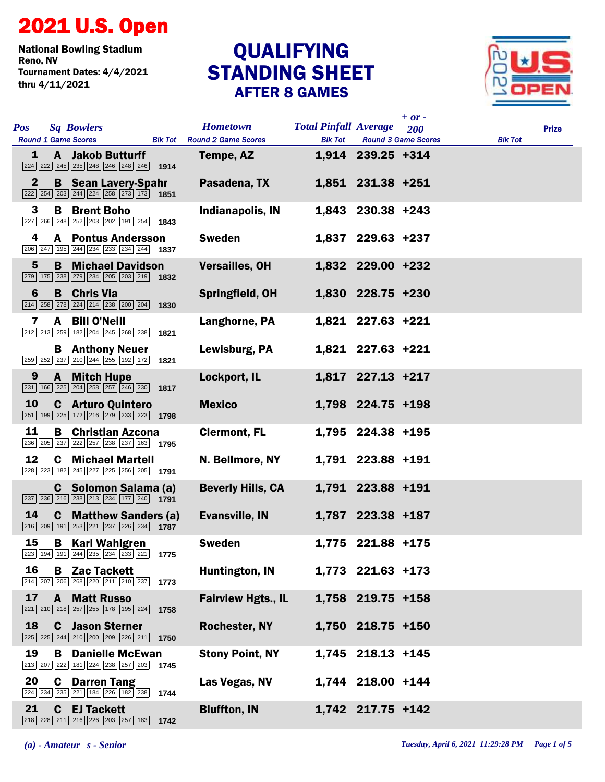## 2021 U.S. Open

National Bowling Stadium Tournament Dates: 4/4/2021 thru 4/11/2021

## STANDING SHEET AFTER 8 GAMES **QUALIFYING**



| <b>Pos</b>   | <b>Sq Bowlers</b><br><b>Round 1 Game Scores</b>                                                                                                                      |      | <b>Hometown</b><br><b>Blk Tot</b> Round 2 Game Scores | <b>Total Pinfall Average</b><br><b>Blk Tot</b> |                     | $+$ or -<br>200<br><b>Round 3 Game Scores</b> | <b>Blk Tot</b> | <b>Prize</b> |
|--------------|----------------------------------------------------------------------------------------------------------------------------------------------------------------------|------|-------------------------------------------------------|------------------------------------------------|---------------------|-----------------------------------------------|----------------|--------------|
| 1            | <b>A</b> Jakob Butturff<br>$\sqrt{224}$ $\sqrt{222}$ $\sqrt{245}$ $\sqrt{235}$ $\sqrt{248}$ $\sqrt{246}$ $\sqrt{248}$ $\sqrt{246}$ <b>1914</b>                       |      | Tempe, AZ                                             |                                                | $1,914$ 239.25 +314 |                                               |                |              |
| $\mathbf{2}$ | <b>B</b> Sean Lavery-Spahr<br>$\boxed{222}\boxed{254}\boxed{203}\boxed{244}\boxed{224}\boxed{258}\boxed{273}\boxed{173}$ 1851                                        |      | Pasadena, TX                                          |                                                | 1,851 231.38 +251   |                                               |                |              |
| 3            | <b>B</b> Brent Boho<br>$\boxed{227}$ $\boxed{266}$ $\boxed{248}$ $\boxed{252}$ $\boxed{203}$ $\boxed{202}$ $\boxed{191}$ $\boxed{254}$ <b>1843</b>                   |      | Indianapolis, IN                                      |                                                | 1,843 230.38 +243   |                                               |                |              |
| 4            | <b>A</b> Pontus Andersson<br>$\overline{ 206   247   195   244   234   233   234   244}$ 1837                                                                        |      | <b>Sweden</b>                                         |                                                | 1,837 229.63 +237   |                                               |                |              |
| 5            | <b>B</b> Michael Davidson<br>279 175 238 279 234 205 203 219 1832                                                                                                    |      | <b>Versailles, OH</b>                                 |                                                | 1,832 229.00 +232   |                                               |                |              |
| 6            | <b>B</b> Chris Via<br>$\boxed{214}\ \boxed{258}\ \boxed{278}\ \boxed{224}\ \boxed{214}\ \boxed{238}\ \boxed{200}\ \boxed{204}$                                       | 1830 | Springfield, OH                                       |                                                | 1,830 228.75 +230   |                                               |                |              |
| 7            | A Bill O'Neill<br>212 213 259 182 204 245 268 238                                                                                                                    | 1821 | Langhorne, PA                                         |                                                | 1,821 227.63 +221   |                                               |                |              |
|              | <b>B</b> Anthony Neuer<br>$\boxed{259}\boxed{252}\boxed{237}\boxed{210}\boxed{244}\boxed{255}\boxed{192}\boxed{172}$ 1821                                            |      | Lewisburg, PA                                         |                                                | 1,821 227.63 +221   |                                               |                |              |
| 9            | <b>A</b> Mitch Hupe<br>$\boxed{231}$ 166 $\boxed{225}$ $\boxed{204}$ $\boxed{258}$ $\boxed{257}$ $\boxed{246}$ $\boxed{230}$ 1817                                    |      | Lockport, IL                                          |                                                | $1,817$ 227.13 +217 |                                               |                |              |
| 10           | <b>C</b> Arturo Quintero<br>251 199 225 172 216 279 233 223 1798                                                                                                     |      | <b>Mexico</b>                                         |                                                | 1,798 224.75 +198   |                                               |                |              |
| 11           | <b>B</b> Christian Azcona<br>236 205 237 222 257 238 237 163 1795                                                                                                    |      | <b>Clermont, FL</b>                                   |                                                | 1,795 224.38 +195   |                                               |                |              |
| 12           | <b>C</b> Michael Martell<br>228 223 182 245 227 225 256 205 1791                                                                                                     |      | N. Bellmore, NY                                       |                                                | 1,791 223.88 +191   |                                               |                |              |
|              | C Solomon Salama (a)<br>$\boxed{237}$ $\boxed{236}$ $\boxed{216}$ $\boxed{238}$ $\boxed{213}$ $\boxed{234}$ $\boxed{177}$ $\boxed{240}$ 1791                         |      | <b>Beverly Hills, CA</b>                              |                                                | 1,791 223.88 +191   |                                               |                |              |
| 14           | <b>C</b> Matthew Sanders (a)<br>$\boxed{216}\boxed{209}\boxed{191}\boxed{253}\boxed{221}\boxed{237}\boxed{226}\boxed{234}$ 1787                                      |      | <b>Evansville, IN</b>                                 |                                                | 1,787 223.38 +187   |                                               |                |              |
| 15           | <b>B</b> Karl Wahlgren<br>$\boxed{223}$ 194 191 244 235 234 233 221 1775                                                                                             |      | <b>Sweden</b>                                         |                                                | 1,775 221.88 +175   |                                               |                |              |
| 16           | <b>B</b> Zac Tackett<br>$\boxed{214}$ $\boxed{207}$ $\boxed{206}$ $\boxed{268}$ $\boxed{220}$ $\boxed{211}$ $\boxed{210}$ $\boxed{237}$ 1773                         |      | Huntington, IN                                        |                                                | 1,773 221.63 +173   |                                               |                |              |
| 17           | <b>A</b> Matt Russo<br>$\boxed{221}\boxed{210}\boxed{218}\boxed{257}\boxed{255}\boxed{178}\boxed{195}\boxed{224}$                                                    | 1758 | <b>Fairview Hgts., IL</b>                             |                                                | 1,758 219.75 +158   |                                               |                |              |
| 18           | <b>C</b> Jason Sterner<br>225 225 244 210 200 209 226 211 1750                                                                                                       |      | Rochester, NY                                         |                                                | 1,750 218.75 +150   |                                               |                |              |
| 19           | <b>B</b> Danielle McEwan<br>213 207 222 181 224 238 257 203                                                                                                          | 1745 | <b>Stony Point, NY</b>                                |                                                | 1,745 218.13 +145   |                                               |                |              |
| 20           | <b>C</b> Darren Tang<br>$\overline{224}$ $\overline{234}$ $\overline{235}$ $\overline{221}$ $\overline{184}$ $\overline{226}$ $\overline{182}$ $\overline{238}$ 1744 |      | Las Vegas, NV                                         |                                                | 1,744 218.00 +144   |                                               |                |              |
| 21           | <b>C</b> EJ Tackett<br>218 228 211 216 226 203 257 183 1742                                                                                                          |      | <b>Bluffton, IN</b>                                   |                                                | 1,742 217.75 +142   |                                               |                |              |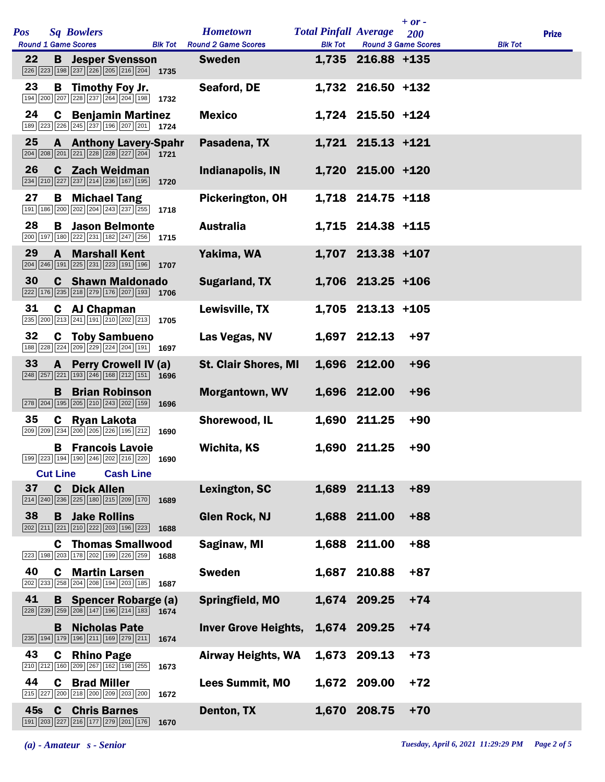|     |                 |                                                                                                                                  |                  |      |                                                     |                              |                     | $+$ or $-$                 |                |              |
|-----|-----------------|----------------------------------------------------------------------------------------------------------------------------------|------------------|------|-----------------------------------------------------|------------------------------|---------------------|----------------------------|----------------|--------------|
| Pos |                 | <b>Sq Bowlers</b>                                                                                                                |                  |      | <b>Hometown</b>                                     | <b>Total Pinfall Average</b> |                     | <b>200</b>                 |                | <b>Prize</b> |
| 22  |                 | <b>Round 1 Game Scores</b><br><b>B</b> Jesper Svensson<br>226 223 198 237 226 205 216 204 1735                                   |                  |      | <b>Blk Tot</b> Round 2 Game Scores<br><b>Sweden</b> | <b>Blk Tot</b>               | 1,735 216.88 +135   | <b>Round 3 Game Scores</b> | <b>Blk Tot</b> |              |
| 23  |                 | <b>B</b> Timothy Foy Jr.<br>194 200 207 228 237 264 204 198                                                                      |                  | 1732 | Seaford, DE                                         |                              | 1,732 216.50 +132   |                            |                |              |
| 24  |                 | <b>C</b> Benjamin Martinez<br>189 223 226 245 237 196 207 201 1724                                                               |                  |      | <b>Mexico</b>                                       |                              | 1,724 215.50 +124   |                            |                |              |
| 25  |                 | <b>A</b> Anthony Lavery-Spahr<br>$\boxed{204}\boxed{208}\boxed{201}\boxed{221}\boxed{228}\boxed{228}\boxed{227}\boxed{204}$ 1721 |                  |      | Pasadena, TX                                        |                              | 1,721 215.13 +121   |                            |                |              |
| 26  | C.              | Zach Weidman<br>234 210 227 237 214 236 167 195                                                                                  |                  | 1720 | Indianapolis, IN                                    |                              | 1,720 215.00 +120   |                            |                |              |
| 27  | B               | <b>Michael Tang</b><br>191   186   200   202   204   243   237   255   1718                                                      |                  |      | Pickerington, OH                                    |                              | 1,718 214.75 +118   |                            |                |              |
| 28  | B               | <b>Jason Belmonte</b><br>200 197 180 222 231 182 247 256                                                                         |                  | 1715 | <b>Australia</b>                                    |                              | 1,715 214.38 +115   |                            |                |              |
| 29  | A               | <b>Marshall Kent</b><br>204 246 191 225 231 223 191 196                                                                          |                  | 1707 | Yakima, WA                                          |                              | 1,707 213.38 +107   |                            |                |              |
| 30  |                 | <b>C</b> Shawn Maldonado<br>222 176 235 218 279 176 207 193 1706                                                                 |                  |      | Sugarland, TX                                       |                              | 1,706 213.25 +106   |                            |                |              |
| 31  |                 | C AJ Chapman<br>235 200 213 241 191 210 202 213                                                                                  |                  | 1705 | Lewisville, TX                                      |                              | $1,705$ 213.13 +105 |                            |                |              |
| 32  |                 | <b>C</b> Toby Sambueno<br>188 228 224 209 229 224 204 191 1697                                                                   |                  |      | Las Vegas, NV                                       |                              | 1,697 212.13        | $+97$                      |                |              |
| 33  |                 | A Perry Crowell IV (a)<br>$\boxed{248}\boxed{257}\boxed{221}\boxed{193}\boxed{246}\boxed{168}\boxed{212}\boxed{151}$ 1696        |                  |      | <b>St. Clair Shores, MI</b>                         |                              | 1,696 212.00        | $+96$                      |                |              |
|     | B               | <b>Brian Robinson</b><br>278 204 195 205 210 243 202 159                                                                         |                  | 1696 | <b>Morgantown, WV</b>                               |                              | 1,696 212.00        | $+96$                      |                |              |
| 35  | C               | <b>Ryan Lakota</b><br>209 209 234 200 205 226 195 212                                                                            |                  | 1690 | Shorewood, IL                                       |                              | 1,690 211.25        | $+90$                      |                |              |
|     | <b>Cut Line</b> | <b>B</b> Francois Lavoie<br>199 223 194 190 246 202 216 220 1690                                                                 | <b>Cash Line</b> |      | Wichita, KS                                         |                              | 1,690 211.25        | $+90$                      |                |              |
| 37  | C.              | <b>Dick Allen</b><br>214 240 236 225 180 215 209 170                                                                             |                  | 1689 | Lexington, SC                                       |                              | 1,689 211.13        | $+89$                      |                |              |
| 38  | B.              | <b>Jake Rollins</b><br>202 211 221 210 222 203 196 223                                                                           |                  | 1688 | <b>Glen Rock, NJ</b>                                |                              | 1,688 211.00        | $+88$                      |                |              |
|     | C               | <b>Thomas Smallwood</b><br>223 198 203 178 202 199 226 259                                                                       |                  | 1688 | Saginaw, MI                                         |                              | 1,688 211.00        | $+88$                      |                |              |
| 40  |                 | <b>C</b> Martin Larsen<br>202 233 258 204 208 194 203 185                                                                        |                  | 1687 | <b>Sweden</b>                                       | 1,687                        | 210.88              | $+87$                      |                |              |
| 41  |                 | <b>B</b> Spencer Robarge (a)<br>$\boxed{228}\boxed{239}\boxed{259}\boxed{208}\boxed{147}\boxed{196}\boxed{214}\boxed{183}$ 1674  |                  |      | Springfield, MO                                     |                              | 1,674 209.25        | $+74$                      |                |              |
|     | B               | <b>Nicholas Pate</b><br>235 194 179 196 211 169 279 211                                                                          |                  | 1674 | <b>Inver Grove Heights,</b>                         |                              | 1,674 209.25        | $+74$                      |                |              |
| 43  |                 | <b>C</b> Rhino Page<br>210 212 160 209 267 162 198 255                                                                           |                  | 1673 | <b>Airway Heights, WA</b>                           | 1,673                        | 209.13              | $+73$                      |                |              |
| 44  | C               | <b>Brad Miller</b><br>215 227 200 218 200 209 203 200                                                                            |                  | 1672 | <b>Lees Summit, MO</b>                              |                              | 1,672 209.00        | $+72$                      |                |              |
| 45s | $\mathbf{c}$    | <b>Chris Barnes</b><br>191   203   227   216   177   279   201   176                                                             |                  | 1670 | Denton, TX                                          |                              | 1,670 208.75        | $+70$                      |                |              |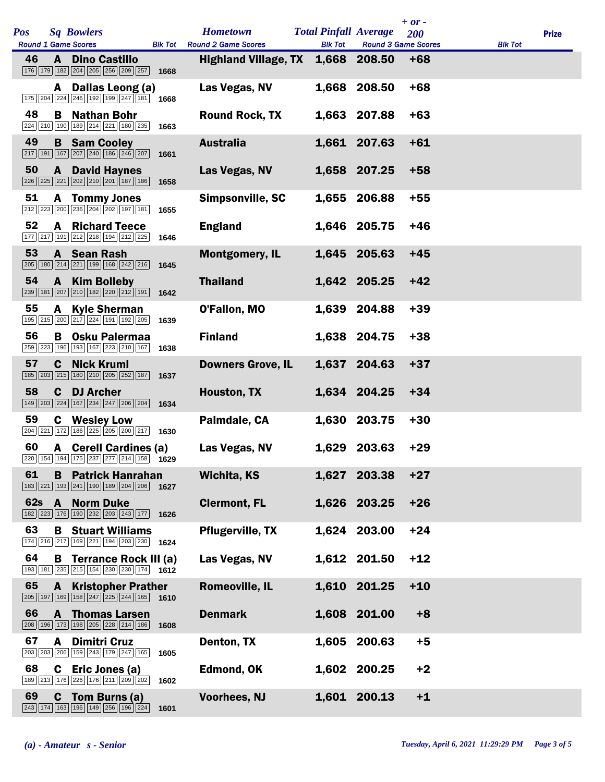| Pos        |              | <b>Sq Bowlers</b>                                                                                           |      | <b>Hometown</b>                                                   | <b>Total Pinfall Average</b> | <b>Round 3 Game Scores</b> | $+ or -$<br>200 |                | <b>Prize</b> |
|------------|--------------|-------------------------------------------------------------------------------------------------------------|------|-------------------------------------------------------------------|------------------------------|----------------------------|-----------------|----------------|--------------|
| 46         | A            | <b>Round 1 Game Scores</b><br><b>Dino Castillo</b><br>176 179 182 204 205 256 209 257                       | 1668 | <b>Blk Tot</b> Round 2 Game Scores<br><b>Highland Village, TX</b> | <b>Blk Tot</b>               | 1,668 208.50               | $+68$           | <b>Blk Tot</b> |              |
|            | A            | Dallas Leong (a)<br>175 204 224 246 192 199 247 181 1668                                                    |      | Las Vegas, NV                                                     |                              | 1,668 208.50               | $+68$           |                |              |
| 48         |              | <b>B</b> Nathan Bohr<br>224 210 190 189 214 221 180 235                                                     | 1663 | <b>Round Rock, TX</b>                                             |                              | 1,663 207.88               | $+63$           |                |              |
| 49         |              | <b>B</b> Sam Cooley<br>217 191 167 207 240 186 246 207                                                      | 1661 | <b>Australia</b>                                                  |                              | 1,661 207.63               | $+61$           |                |              |
| 50         | $\mathbf{A}$ | <b>David Haynes</b><br>226 225 221 202 210 201 187 186                                                      | 1658 | Las Vegas, NV                                                     |                              | 1,658 207.25               | $+58$           |                |              |
| 51         |              | <b>A</b> Tommy Jones<br>212 223 200 236 204 202 197 181                                                     | 1655 | Simpsonville, SC                                                  | 1,655                        | 206.88                     | $+55$           |                |              |
| 52         | A            | <b>Richard Teece</b><br>177 217 191 212 218 194 212 225                                                     | 1646 | <b>England</b>                                                    |                              | 1,646 205.75               | $+46$           |                |              |
| 53         |              | A Sean Rash<br>205 180 214 221 199 168 242 216                                                              | 1645 | <b>Montgomery, IL</b>                                             |                              | 1,645 205.63               | $+45$           |                |              |
| 54         |              | A Kim Bolleby<br>239 181 207 210 182 220 212 191                                                            | 1642 | <b>Thailand</b>                                                   |                              | 1,642 205.25               | $+42$           |                |              |
| 55         | A            | <b>Kyle Sherman</b><br>195 215 200 217 224 191 192 205                                                      | 1639 | O'Fallon, MO                                                      |                              | 1,639 204.88               | $+39$           |                |              |
| 56         | В            | <b>Osku Palermaa</b><br>259 223 196 193 167 223 210 167                                                     | 1638 | <b>Finland</b>                                                    |                              | 1,638 204.75               | $+38$           |                |              |
| 57         |              | <b>C</b> Nick Kruml<br>185 203 215 180 210 205 252 187                                                      | 1637 | <b>Downers Grove, IL</b>                                          |                              | 1,637 204.63               | $+37$           |                |              |
| 58         | C.           | <b>DJ Archer</b><br>149 203 224 167 234 247 206 204                                                         | 1634 | Houston, TX                                                       |                              | 1,634 204.25               | $+34$           |                |              |
| 59         | C.           | <b>Wesley Low</b><br>204 221 172 186 225 205 200 217                                                        | 1630 | Palmdale, CA                                                      | 1,630                        | 203.75                     | $+30$           |                |              |
| 60         |              | A Cerell Cardines (a)<br>220 154 194 175 237 277 214 158 1629                                               |      | Las Vegas, NV                                                     |                              | 1,629 203.63               | $+29$           |                |              |
| 61         | B            | <b>Patrick Hanrahan</b><br>183 221 193 241 190 189 204 206                                                  | 1627 | <b>Wichita, KS</b>                                                | 1,627                        | 203.38                     | $+27$           |                |              |
| <b>62s</b> | $\mathbf{A}$ | <b>Norm Duke</b><br>182 223 176 190 232 203 243 177                                                         | 1626 | <b>Clermont, FL</b>                                               |                              | 1,626 203.25               | $+26$           |                |              |
| 63         | B            | <b>Stuart Williams</b><br>174 216 217 169 221 194 203 230 1624                                              |      | <b>Pflugerville, TX</b>                                           |                              | 1,624 203.00               | $+24$           |                |              |
| 64         |              | <b>B</b> Terrance Rock III (a)<br>193 181 235 215 154 230 230 174 1612                                      |      | Las Vegas, NV                                                     |                              | 1,612 201.50               | $+12$           |                |              |
| 65         | A            | <b>Kristopher Prather</b><br>$\boxed{205}$ 197 169 158 247 225 244 165                                      | 1610 | <b>Romeoville, IL</b>                                             |                              | 1,610 201.25               | $+10$           |                |              |
| 66         | A            | <b>Thomas Larsen</b><br>208 196 173 198 205 228 214 186                                                     | 1608 | <b>Denmark</b>                                                    |                              | 1,608 201.00               | $+8$            |                |              |
| 67         | A            | <b>Dimitri Cruz</b><br>203 203 206 159 243 179 247 165                                                      | 1605 | Denton, TX                                                        | 1,605                        | 200.63                     | $+5$            |                |              |
| 68         | $\mathbf c$  | Eric Jones (a)<br>189 213 176 226 176 211 209 202                                                           | 1602 | Edmond, OK                                                        |                              | 1,602 200.25               | $+2$            |                |              |
| 69         | C            | Tom Burns (a)<br>$\boxed{243}\boxed{174}\boxed{163}\boxed{196}\boxed{149}\boxed{256}\boxed{196}\boxed{224}$ | 1601 | <b>Voorhees, NJ</b>                                               |                              | 1,601 200.13               | $+1$            |                |              |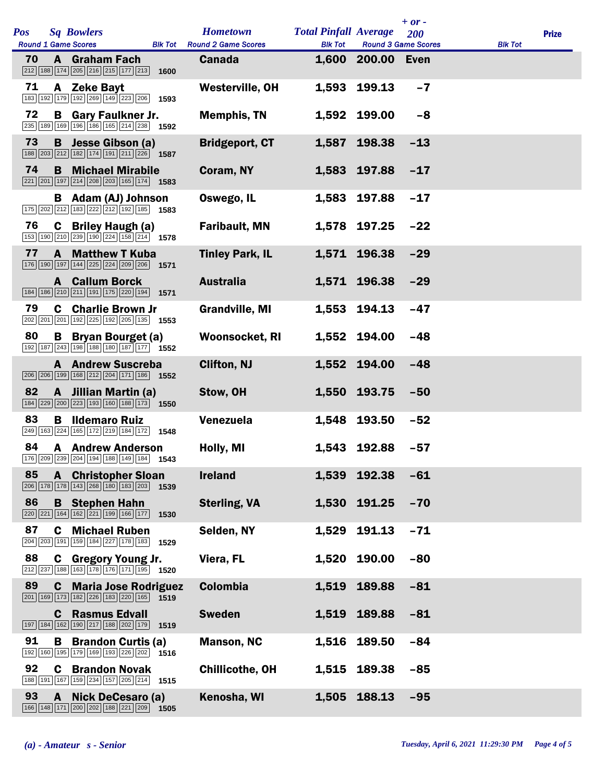| Pos |              | <b>Sq Bowlers</b>                                                                                                                                         |                | <b>Hometown</b>                      | <b>Total Pinfall Average</b> |                                                 | $+ or -$<br>200 |                | <b>Prize</b> |
|-----|--------------|-----------------------------------------------------------------------------------------------------------------------------------------------------------|----------------|--------------------------------------|------------------------------|-------------------------------------------------|-----------------|----------------|--------------|
| 70  |              | <b>Round 1 Game Scores</b><br><b>A</b> Graham Fach                                                                                                        | <b>Blk Tot</b> | <b>Round 2 Game Scores</b><br>Canada | <b>Blk Tot</b>               | <b>Round 3 Game Scores</b><br>1,600 200.00 Even |                 | <b>Blk Tot</b> |              |
|     |              | 212 188 174 205 216 215 177 213                                                                                                                           | 1600           |                                      |                              |                                                 |                 |                |              |
| 71  |              | A Zeke Bayt<br>183 192 179 192 269 149 223 206                                                                                                            | 1593           | Westerville, OH                      |                              | 1,593 199.13                                    | $-7$            |                |              |
| 72  |              | <b>B</b> Gary Faulkner Jr.<br>235 189 169 196 186 165 214 238 1592                                                                                        |                | <b>Memphis, TN</b>                   |                              | 1,592 199.00                                    | $-8$            |                |              |
| 73  | B            | Jesse Gibson (a)<br>188 203 212 182 174 191 211 226 1587                                                                                                  |                | <b>Bridgeport, CT</b>                |                              | 1,587 198.38                                    | $-13$           |                |              |
| 74  | B.           | <b>Michael Mirabile</b><br>$\boxed{221}$ $\boxed{201}$ $\boxed{197}$ $\boxed{214}$ $\boxed{208}$ $\boxed{203}$ $\boxed{165}$ $\boxed{174}$ <b>1583</b>    |                | Coram, NY                            |                              | 1,583 197.88                                    | $-17$           |                |              |
|     |              | <b>B</b> Adam (AJ) Johnson<br>$\boxed{175}$ $\boxed{202}$ $\boxed{212}$ $\boxed{183}$ $\boxed{222}$ $\boxed{212}$ $\boxed{192}$ $\boxed{185}$ <b>1583</b> |                | Oswego, IL                           |                              | 1,583 197.88                                    | $-17$           |                |              |
| 76  |              | <b>C</b> Briley Haugh (a)<br>153 190 210 239 190 224 158 214 1578                                                                                         |                | <b>Faribault, MN</b>                 |                              | 1,578 197.25                                    | $-22$           |                |              |
| 77  | A            | <b>Matthew T Kuba</b><br>176 190 197 144 225 224 209 206                                                                                                  | 1571           | <b>Tinley Park, IL</b>               |                              | 1,571 196.38                                    | $-29$           |                |              |
|     |              | <b>A</b> Callum Borck<br>184 186 210 211 191 175 220 194                                                                                                  | 1571           | <b>Australia</b>                     |                              | 1,571 196.38                                    | $-29$           |                |              |
| 79  |              | <b>C</b> Charlie Brown Jr<br>202 201 201 192 225 192 205 135 1553                                                                                         |                | <b>Grandville, MI</b>                |                              | 1,553 194.13                                    | $-47$           |                |              |
| 80  | В            | <b>Bryan Bourget (a)</b><br>192 187 243 198 188 180 187 177 1552                                                                                          |                | <b>Woonsocket, RI</b>                |                              | 1,552 194.00                                    | $-48$           |                |              |
|     |              | <b>A</b> Andrew Suscreba<br>206 206 199 168 212 204 171 186 1552                                                                                          |                | <b>Clifton, NJ</b>                   |                              | 1,552 194.00                                    | $-48$           |                |              |
| 82  | $\mathbf{A}$ | Jillian Martin (a)<br>184 229 200 223 193 160 188 173 1550                                                                                                |                | Stow, OH                             |                              | 1,550 193.75                                    | $-50$           |                |              |
| 83  | в            | <b>Ildemaro Ruiz</b><br>249 163 224 165 172 219 184 172                                                                                                   | 1548           | Venezuela                            | 1,548                        | 193.50                                          | $-52$           |                |              |
| 84  |              | <b>A</b> Andrew Anderson<br>176 209 239 204 194 188 149 184 1543                                                                                          |                | Holly, MI                            |                              | 1,543 192.88                                    | $-57$           |                |              |
| 85  |              | <b>A</b> Christopher Sloan<br>206   178   178   143   268   180   183   203                                                                               | 1539           | <b>Ireland</b>                       | 1,539                        | 192.38                                          | $-61$           |                |              |
| 86  |              | <b>B</b> Stephen Hahn<br>220 221 164 162 221 199 166 177                                                                                                  | 1530           | <b>Sterling, VA</b>                  |                              | 1,530 191.25                                    | $-70$           |                |              |
| 87  | C            | <b>Michael Ruben</b><br>204 203 191 159 184 227 178 183                                                                                                   | 1529           | Selden, NY                           | 1,529                        | 191.13                                          | $-71$           |                |              |
| 88  |              | C Gregory Young Jr.<br>$\boxed{212}\boxed{237}\boxed{188}\boxed{163}\boxed{178}\boxed{176}\boxed{171}\boxed{195}$ 1520                                    |                | Viera, FL                            | 1,520                        | 190.00                                          | $-80$           |                |              |
| 89  | C.           | <b>Maria Jose Rodriguez</b><br>201 169 173 182 226 183 220 165                                                                                            | 1519           | <b>Colombia</b>                      |                              | 1,519 189.88                                    | $-81$           |                |              |
|     | C.           | <b>Rasmus Edvall</b><br>197 184 162 190 217 188 202 179                                                                                                   | 1519           | <b>Sweden</b>                        | 1,519                        | 189.88                                          | $-81$           |                |              |
| 91  | B            | <b>Brandon Curtis (a)</b><br>192 160 195 179 169 193 226 202                                                                                              | 1516           | <b>Manson, NC</b>                    | 1,516                        | 189.50                                          | $-84$           |                |              |
| 92  | C.           | <b>Brandon Novak</b><br>188 191 167 159 234 157 205 214                                                                                                   | 1515           | <b>Chillicothe, OH</b>               |                              | 1,515 189.38                                    | $-85$           |                |              |
| 93  | A            | <b>Nick DeCesaro (a)</b><br>166 148 171 200 202 188 221 209                                                                                               | 1505           | Kenosha, WI                          | 1,505                        | 188.13                                          | $-95$           |                |              |